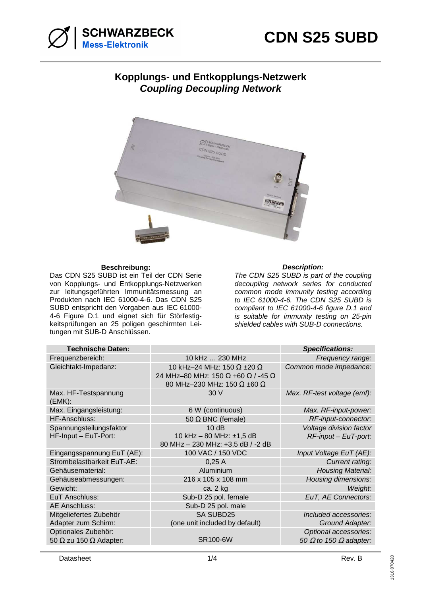

## **Kopplungs- und Entkopplungs-Netzwerk Coupling Decoupling Network**



## **Beschreibung: Description:**

Das CDN S25 SUBD ist ein Teil der CDN Serie von Kopplungs- und Entkopplungs-Netzwerken zur leitungsgeführten Immunitätsmessung an Produkten nach IEC 61000-4-6. Das CDN S25 SUBD entspricht den Vorgaben aus IEC 61000- 4-6 Figure D.1 und eignet sich für Störfestigkeitsprüfungen an 25 poligen geschirmten Leitungen mit SUB-D Anschlüssen.

The CDN S25 SUBD is part of the coupling decoupling network series for conducted common mode immunity testing according to IEC 61000-4-6. The CDN S25 SUBD is compliant to IEC 61000-4-6 figure D.1 and is suitable for immunity testing on 25-pin shielded cables with SUB-D connections.

| <b>Technische Daten:</b>                                    |                                                                                                               | <b>Specifications:</b>                                        |
|-------------------------------------------------------------|---------------------------------------------------------------------------------------------------------------|---------------------------------------------------------------|
| Frequenzbereich:                                            | 10 kHz  230 MHz                                                                                               | Frequency range:                                              |
| Gleichtakt-Impedanz:                                        | 10 kHz-24 MHz: 150 $\Omega$ ±20 $\Omega$<br>24 MHz-80 MHz: 150 Ω +60 Ω / -45 Ω<br>80 MHz-230 MHz: 150 Ω ±60 Ω | Common mode impedance:                                        |
| Max. HF-Testspannung<br>(EMK):                              | 30 V                                                                                                          | Max. RF-test voltage (emf):                                   |
| Max. Eingangsleistung:                                      | 6 W (continuous)                                                                                              | Max. RF-input-power:                                          |
| HF-Anschluss:                                               | 50 $\Omega$ BNC (female)                                                                                      | RF-input-connector:                                           |
| Spannungsteilungsfaktor<br>HF-Input - EuT-Port:             | 10dB<br>10 kHz - 80 MHz: ±1,5 dB<br>80 MHz - 230 MHz: +3,5 dB / -2 dB                                         | Voltage division factor<br>$RF$ -input – EuT-port:            |
| Eingangsspannung EuT (AE):                                  | 100 VAC / 150 VDC                                                                                             | Input Voltage EuT (AE):                                       |
| Strombelastbarkeit EuT-AE:                                  | 0,25A                                                                                                         | Current rating:                                               |
| Gehäusematerial:                                            | Aluminium                                                                                                     | <b>Housing Material:</b>                                      |
| Gehäuseabmessungen:                                         | 216 x 105 x 108 mm                                                                                            | Housing dimensions:                                           |
| Gewicht:                                                    | ca. 2 kg                                                                                                      | Weight:                                                       |
| EuT Anschluss:                                              | Sub-D 25 pol. female                                                                                          | EuT, AE Connectors:                                           |
| <b>AE Anschluss:</b>                                        | Sub-D 25 pol. male                                                                                            |                                                               |
| Mitgeliefertes Zubehör<br>Adapter zum Schirm:               | <b>SA SUBD25</b><br>(one unit included by default)                                                            | Included accessories:<br>Ground Adapter:                      |
| Optionales Zubehör:<br>50 $\Omega$ zu 150 $\Omega$ Adapter: | SR100-6W                                                                                                      | Optional accessories:<br>50 $\Omega$ to 150 $\Omega$ adapter: |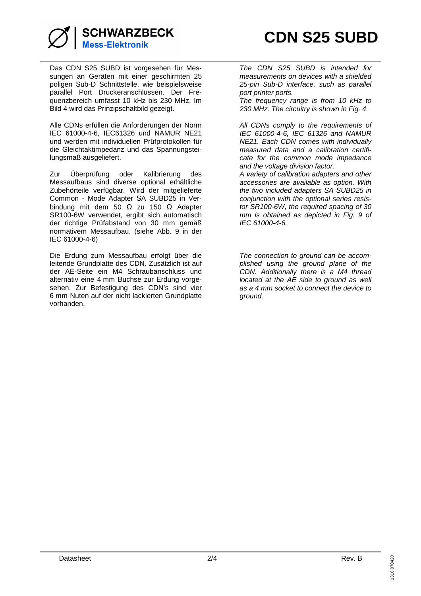

Das CDN S25 SUBD ist vorgesehen für Messungen an Geräten mit einer geschirmten 25 poligen Sub-D Schnittstelle, wie beispielsweise parallel Port Druckeranschlüssen. Der Frequenzbereich umfasst 10 kHz bis 230 MHz. Im Bild 4 wird das Prinzipschaltbild gezeigt.

Alle CDNs erfüllen die Anforderungen der Norm IEC 61000-4-6, IEC61326 und NAMUR NE21 und werden mit individuellen Prüfprotokollen für die Gleichtaktimpedanz und das Spannungsteilungsmaß ausgeliefert.

Zur Überprüfung oder Kalibrierung des Messaufbaus sind diverse optional erhältliche Zubehörteile verfügbar. Wird der mitgelieferte Common - Mode Adapter SA SUBD25 in Verbindung mit dem 50 Ω zu 150 Ω Adapter SR100-6W verwendet, ergibt sich automatisch der richtige Prüfabstand von 30 mm gemäß normativem Messaufbau. (siehe Abb. 9 in der IEC 61000-4-6)

Die Erdung zum Messaufbau erfolgt über die leitende Grundplatte des CDN. Zusätzlich ist auf der AE-Seite ein M4 Schraubanschluss und alternativ eine 4 mm Buchse zur Erdung vorgesehen. Zur Befestigung des CDN's sind vier 6 mm Nuten auf der nicht lackierten Grundplatte vorhanden.

The CDN S25 SUBD is intended for measurements on devices with a shielded 25-pin Sub-D interface, such as parallel port printer ports.

The frequency range is from 10 kHz to 230 MHz. The circuitry is shown in Fig. 4.

All CDNs comply to the requirements of IEC 61000-4-6, IEC 61326 and NAMUR NE21. Each CDN comes with individually measured data and a calibration certificate for the common mode impedance and the voltage division factor.

A variety of calibration adapters and other accessories are available as option. With the two included adapters SA SUBD25 in conjunction with the optional series resistor SR100-6W, the required spacing of 30 mm is obtained as depicted in Fig. 9 of IEC 61000-4-6.

The connection to ground can be accomplished using the ground plane of the CDN. Additionally there is a M4 thread located at the AE side to ground as well as a 4 mm socket to connect the device to ground.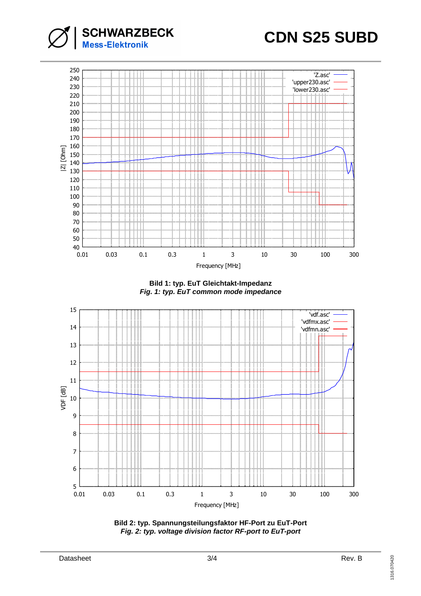



**Bild 1: typ. EuT Gleichtakt-Impedanz Fig. 1: typ. EuT common mode impedance** 



**Bild 2: typ. Spannungsteilungsfaktor HF-Port zu EuT-Port Fig. 2: typ. voltage division factor RF-port to EuT-port**